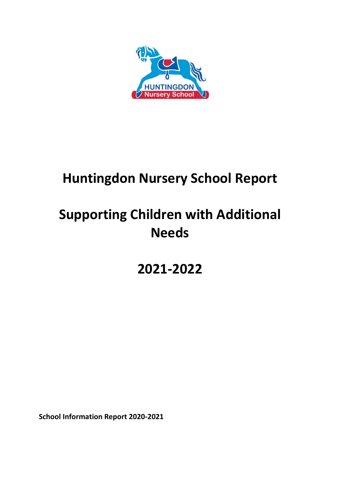

# **Huntingdon Nursery School Report**

# **Supporting Children with Additional Needs**

**2021-2022**

**School Information Report 2020-2021**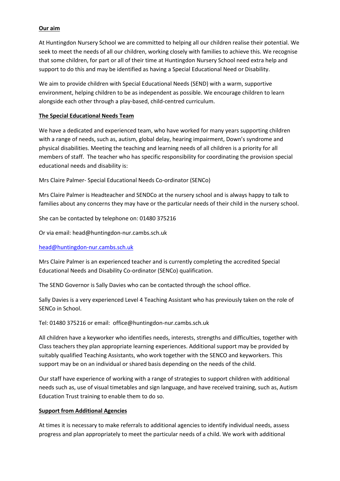#### **Our aim**

At Huntingdon Nursery School we are committed to helping all our children realise their potential. We seek to meet the needs of all our children, working closely with families to achieve this. We recognise that some children, for part or all of their time at Huntingdon Nursery School need extra help and support to do this and may be identified as having a Special Educational Need or Disability.

We aim to provide children with Special Educational Needs (SEND) with a warm, supportive environment, helping children to be as independent as possible. We encourage children to learn alongside each other through a play-based, child-centred curriculum.

#### **The Special Educational Needs Team**

We have a dedicated and experienced team, who have worked for many years supporting children with a range of needs, such as, autism, global delay, hearing impairment, Down's syndrome and physical disabilities. Meeting the teaching and learning needs of all children is a priority for all members of staff. The teacher who has specific responsibility for coordinating the provision special educational needs and disability is:

Mrs Claire Palmer- Special Educational Needs Co-ordinator (SENCo)

Mrs Claire Palmer is Headteacher and SENDCo at the nursery school and is always happy to talk to families about any concerns they may have or the particular needs of their child in the nursery school.

She can be contacted by telephone on: 01480 375216

Or via email: head@huntingdon-nur.cambs.sch.uk

#### [head@huntingdon-nur.cambs.sch.uk](mailto:head@huntingdon-nur.cambs.sch.uk)

Mrs Claire Palmer is an experienced teacher and is currently completing the accredited Special Educational Needs and Disability Co-ordinator (SENCo) qualification.

The SEND Governor is Sally Davies who can be contacted through the school office.

Sally Davies is a very experienced Level 4 Teaching Assistant who has previously taken on the role of SENCo in School.

Tel: 01480 375216 or email: office@huntingdon-nur.cambs.sch.uk

All children have a keyworker who identifies needs, interests, strengths and difficulties, together with Class teachers they plan appropriate learning experiences. Additional support may be provided by suitably qualified Teaching Assistants, who work together with the SENCO and keyworkers. This support may be on an individual or shared basis depending on the needs of the child.

Our staff have experience of working with a range of strategies to support children with additional needs such as, use of visual timetables and sign language, and have received training, such as, Autism Education Trust training to enable them to do so.

# **Support from Additional Agencies**

At times it is necessary to make referrals to additional agencies to identify individual needs, assess progress and plan appropriately to meet the particular needs of a child. We work with additional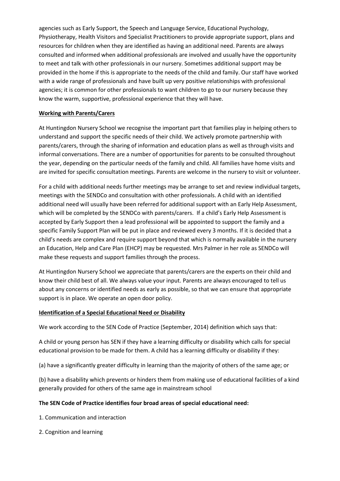agencies such as Early Support, the Speech and Language Service, Educational Psychology, Physiotherapy, Health Visitors and Specialist Practitioners to provide appropriate support, plans and resources for children when they are identified as having an additional need. Parents are always consulted and informed when additional professionals are involved and usually have the opportunity to meet and talk with other professionals in our nursery. Sometimes additional support may be provided in the home if this is appropriate to the needs of the child and family. Our staff have worked with a wide range of professionals and have built up very positive relationships with professional agencies; it is common for other professionals to want children to go to our nursery because they know the warm, supportive, professional experience that they will have.

#### **Working with Parents/Carers**

At Huntingdon Nursery School we recognise the important part that families play in helping others to understand and support the specific needs of their child. We actively promote partnership with parents/carers, through the sharing of information and education plans as well as through visits and informal conversations. There are a number of opportunities for parents to be consulted throughout the year, depending on the particular needs of the family and child. All families have home visits and are invited for specific consultation meetings. Parents are welcome in the nursery to visit or volunteer.

For a child with additional needs further meetings may be arrange to set and review individual targets, meetings with the SENDCo and consultation with other professionals. A child with an identified additional need will usually have been referred for additional support with an Early Help Assessment, which will be completed by the SENDCo with parents/carers. If a child's Early Help Assessment is accepted by Early Support then a lead professional will be appointed to support the family and a specific Family Support Plan will be put in place and reviewed every 3 months. If it is decided that a child's needs are complex and require support beyond that which is normally available in the nursery an Education, Help and Care Plan (EHCP) may be requested. Mrs Palmer in her role as SENDCo will make these requests and support families through the process.

At Huntingdon Nursery School we appreciate that parents/carers are the experts on their child and know their child best of all. We always value your input. Parents are always encouraged to tell us about any concerns or identified needs as early as possible, so that we can ensure that appropriate support is in place. We operate an open door policy.

#### **Identification of a Special Educational Need or Disability**

We work according to the SEN Code of Practice (September, 2014) definition which says that:

A child or young person has SEN if they have a learning difficulty or disability which calls for special educational provision to be made for them. A child has a learning difficulty or disability if they:

(a) have a significantly greater difficulty in learning than the majority of others of the same age; or

(b) have a disability which prevents or hinders them from making use of educational facilities of a kind generally provided for others of the same age in mainstream school

#### **The SEN Code of Practice identifies four broad areas of special educational need:**

- 1. Communication and interaction
- 2. Cognition and learning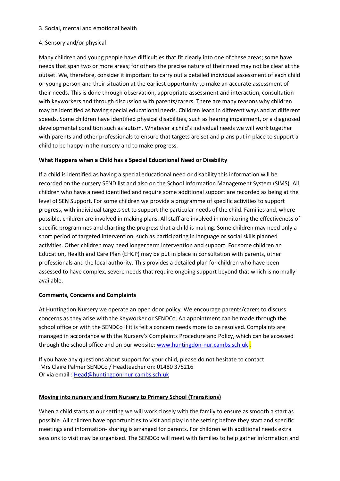#### 3. Social, mental and emotional health

#### 4. Sensory and/or physical

Many children and young people have difficulties that fit clearly into one of these areas; some have needs that span two or more areas; for others the precise nature of their need may not be clear at the outset. We, therefore, consider it important to carry out a detailed individual assessment of each child or young person and their situation at the earliest opportunity to make an accurate assessment of their needs. This is done through observation, appropriate assessment and interaction, consultation with keyworkers and through discussion with parents/carers. There are many reasons why children may be identified as having special educational needs. Children learn in different ways and at different speeds. Some children have identified physical disabilities, such as hearing impairment, or a diagnosed developmental condition such as autism. Whatever a child's individual needs we will work together with parents and other professionals to ensure that targets are set and plans put in place to support a child to be happy in the nursery and to make progress.

# **What Happens when a Child has a Special Educational Need or Disability**

If a child is identified as having a special educational need or disability this information will be recorded on the nursery SEND list and also on the School Information Management System (SIMS). All children who have a need identified and require some additional support are recorded as being at the level of SEN Support. For some children we provide a programme of specific activities to support progress, with individual targets set to support the particular needs of the child. Families and, where possible, children are involved in making plans. All staff are involved in monitoring the effectiveness of specific programmes and charting the progress that a child is making. Some children may need only a short period of targeted intervention, such as participating in language or social skills planned activities. Other children may need longer term intervention and support. For some children an Education, Health and Care Plan (EHCP) may be put in place in consultation with parents, other professionals and the local authority. This provides a detailed plan for children who have been assessed to have complex, severe needs that require ongoing support beyond that which is normally available.

# **Comments, Concerns and Complaints**

At Huntingdon Nursery we operate an open door policy. We encourage parents/carers to discuss concerns as they arise with the Keyworker or SENDCo. An appointment can be made through the school office or with the SENDCo if it is felt a concern needs more to be resolved. Complaints are managed in accordance with the Nursery's Complaints Procedure and Policy, which can be accessed through the school office and on our website[: www.huntingdon-nur.cambs.sch.uk](http://www.huntingdon-nur.cambs.sch.uk/).

If you have any questions about support for your child, please do not hesitate to contact Mrs Claire Palmer SENDCo / Headteacher on: 01480 375216 Or via email [: Head@huntingdon-nur.cambs.sch.uk](mailto:Head@huntingdon-nur.cambs.sch.uk)

# **Moving into nursery and from Nursery to Primary School (Transitions)**

When a child starts at our setting we will work closely with the family to ensure as smooth a start as possible. All children have opportunities to visit and play in the setting before they start and specific meetings and information- sharing is arranged for parents. For children with additional needs extra sessions to visit may be organised. The SENDCo will meet with families to help gather information and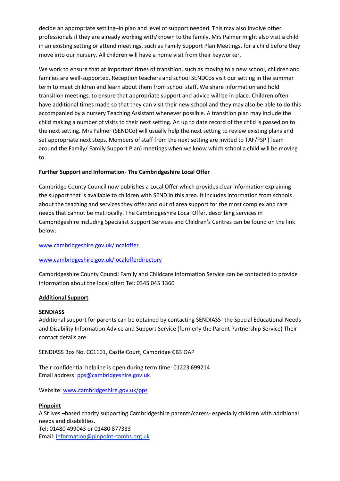decide an appropriate settling–in plan and level of support needed. This may also involve other professionals if they are already working with/known to the family. Mrs Palmer might also visit a child in an existing setting or attend meetings, such as Family Support Plan Meetings, for a child before they move into our nursery. All children will have a home visit from their keyworker.

We work to ensure that at important times of transition, such as moving to a new school, children and families are well-supported. Reception teachers and school SENDCos visit our setting in the summer term to meet children and learn about them from school staff. We share information and hold transition meetings, to ensure that appropriate support and advice will be in place. Children often have additional times made so that they can visit their new school and they may also be able to do this accompanied by a nursery Teaching Assistant whenever possible. A transition plan may include the child making a number of visits to their next setting. An up to date record of the child is passed on to the next setting. Mrs Palmer (SENDCo) will usually help the next setting to review existing plans and set appropriate next steps. Members of staff from the next setting are invited to TAF/FSP (Team around the Family/ Family Support Plan) meetings when we know which school a child will be moving to.

# **Further Support and Information- The Cambridgeshire Local Offer**

Cambridge County Council now publishes a Local Offer which provides clear information explaining the support that is available to children with SEND in this area. It includes information from schools about the teaching and services they offer and out of area support for the most complex and rare needs that cannot be met locally. The Cambridgeshire Local Offer, describing services in Cambridgeshire including Specialist Support Services and Children's Centres can be found on the link below:

# [www.cambridgeshire.gov.uk/localoffer](http://www.cambridgeshire.gov.uk/localoffer)

# [www.cambridgeshire.gov.uk/localofferdirectory](http://www.cambridgeshire.gov.uk/localofferdirectory)

Cambridgeshire County Council Family and Childcare Information Service can be contacted to provide information about the local offer: Tel: 0345 045 1360

# **Additional Support**

# **SENDIASS**

Additional support for parents can be obtained by contacting SENDIASS- the Special Educational Needs and Disability Information Advice and Support Service (formerly the Parent Partnership Service) Their contact details are:

SENDIASS Box No. CC1101, Castle Court, Cambridge CB3 OAP

Their confidential helpline is open during term time: 01223 699214 Email address: [pps@cambridgeshire.gov.uk](mailto:pps@cambridgeshire.gov.uk)

Website[: www.cambridgeshire.gov.uk/pps](http://www.cambridgeshire.gov.uk/pps)

# **Pinpoint**

A St Ives –based charity supporting Cambridgeshire parents/carers- especially children with additional needs and disabilities. Tel: 01480 499043 or 01480 877333 Email: information@pinpoint-cambs.org.uk